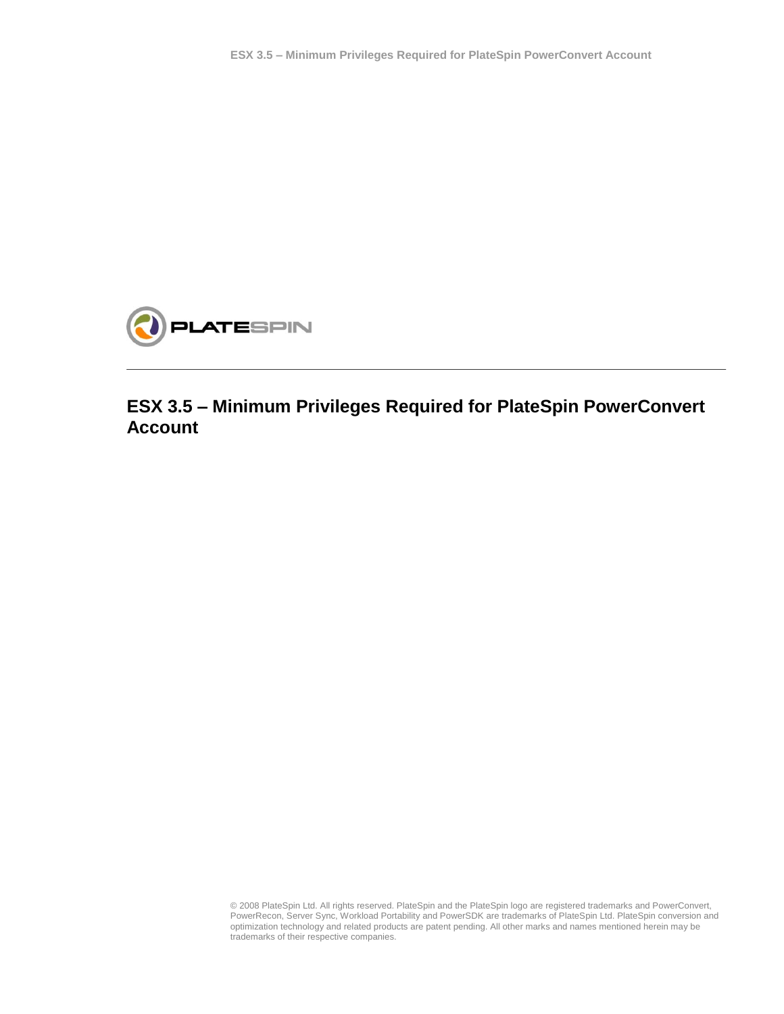

## **ESX 3.5 – Minimum Privileges Required for PlateSpin PowerConvert Account**

© 2008 PlateSpin Ltd. All rights reserved. PlateSpin and the PlateSpin logo are registered trademarks and PowerConvert, PowerRecon, Server Sync, Workload Portability and PowerSDK are trademarks of PlateSpin Ltd. PlateSpin conversion and optimization technology and related products are patent pending. All other marks and names mentioned herein may be trademarks of their respective companies.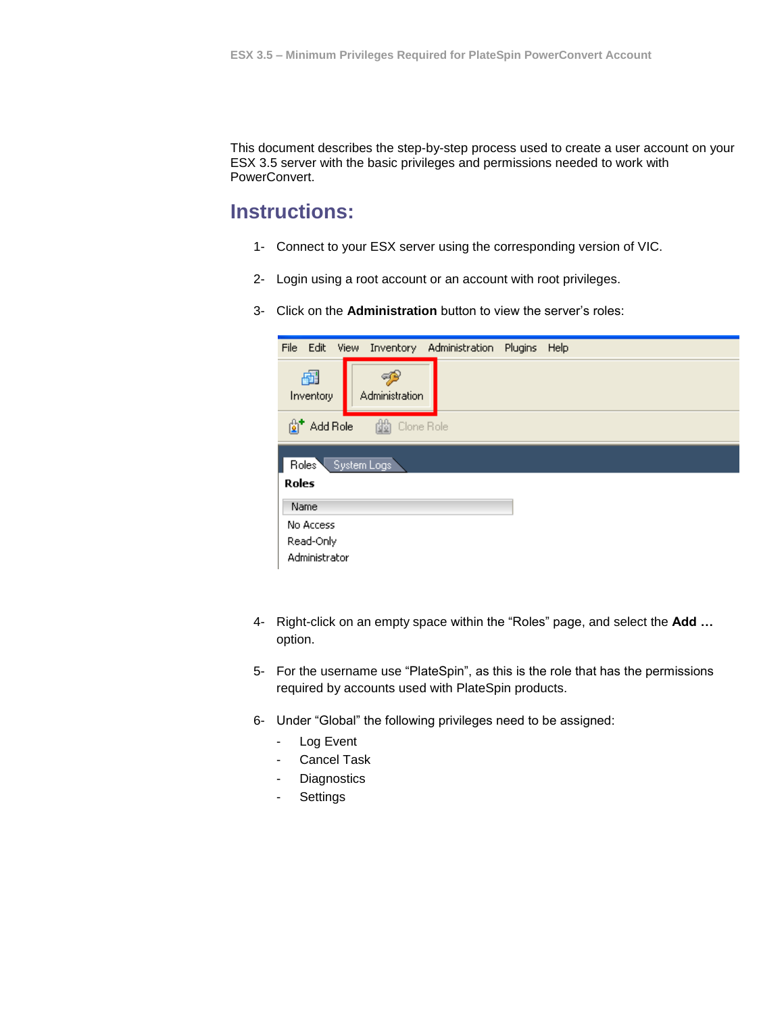This document describes the step-by-step process used to create a user account on your ESX 3.5 server with the basic privileges and permissions needed to work with PowerConvert.

## **Instructions:**

- 1- Connect to your ESX server using the corresponding version of VIC.
- 2- Login using a root account or an account with root privileges.
- 3- Click on the **Administration** button to view the server's roles:

| File Edit View       | Inventory Administration Plugins |  |  | Help |  |  |
|----------------------|----------------------------------|--|--|------|--|--|
| 喦<br>Inventory       | ورب<br>Administration            |  |  |      |  |  |
| 針                    | td Clone Role<br>Add Role        |  |  |      |  |  |
|                      | Roles System Logs                |  |  |      |  |  |
| <b>Roles</b><br>Name |                                  |  |  |      |  |  |
| No Access            |                                  |  |  |      |  |  |
| Read-Only            |                                  |  |  |      |  |  |
| Administrator        |                                  |  |  |      |  |  |

- 4- Right-click on an empty space within the "Roles" page, and select the **Add …** option.
- 5- For the username use "PlateSpin", as this is the role that has the permissions required by accounts used with PlateSpin products.
- 6- Under "Global" the following privileges need to be assigned:
	- Log Event
	- Cancel Task
	- Diagnostics
	- **Settings**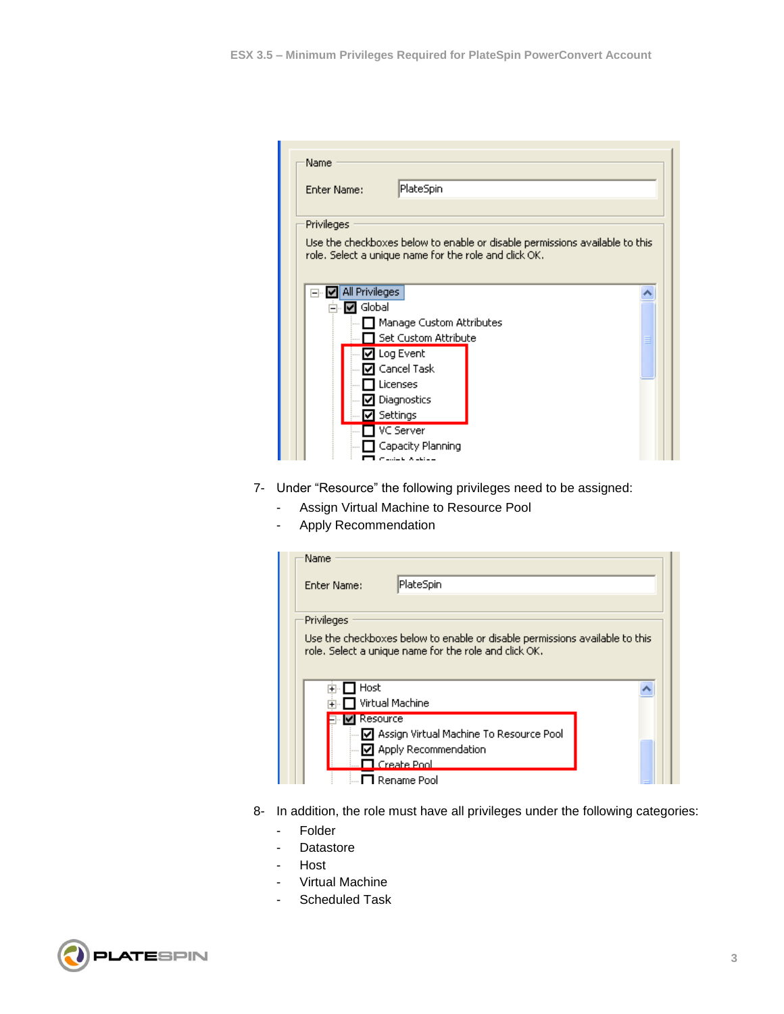| <b>Enter Name:</b>                                                          | PlateSpin            |  |  |  |
|-----------------------------------------------------------------------------|----------------------|--|--|--|
|                                                                             |                      |  |  |  |
| Privileges                                                                  |                      |  |  |  |
| Use the checkboxes below to enable or disable permissions available to this |                      |  |  |  |
| role. Select a unique name for the role and click OK.                       |                      |  |  |  |
|                                                                             |                      |  |  |  |
| All Privileges<br>⊟…<br>₩                                                   |                      |  |  |  |
| Global<br>พ                                                                 |                      |  |  |  |
| Manage Custom Attributes                                                    |                      |  |  |  |
|                                                                             | Set Custom Attribute |  |  |  |
|                                                                             | Log Event            |  |  |  |
|                                                                             | Cancel Task          |  |  |  |
|                                                                             | Licenses             |  |  |  |
|                                                                             | Diagnostics          |  |  |  |
|                                                                             |                      |  |  |  |
|                                                                             | Settings             |  |  |  |

- 7- Under "Resource" the following privileges need to be assigned:
	- Assign Virtual Machine to Resource Pool
	- Apply Recommendation

| Name                                                                                                                                 |                                           |  |  |  |  |
|--------------------------------------------------------------------------------------------------------------------------------------|-------------------------------------------|--|--|--|--|
| Enter Name:                                                                                                                          | PlateSpin                                 |  |  |  |  |
|                                                                                                                                      |                                           |  |  |  |  |
| Privileges                                                                                                                           |                                           |  |  |  |  |
| Use the checkboxes below to enable or disable permissions available to this<br>role. Select a unique name for the role and click OK. |                                           |  |  |  |  |
| Host<br>$\overline{+}$                                                                                                               |                                           |  |  |  |  |
|                                                                                                                                      | Virtual Machine                           |  |  |  |  |
| Resource                                                                                                                             |                                           |  |  |  |  |
|                                                                                                                                      | ☑ Assign Virtual Machine To Resource Pool |  |  |  |  |
|                                                                                                                                      | ☑ Apply Recommendation                    |  |  |  |  |
|                                                                                                                                      | $\Box$ Create Pool.                       |  |  |  |  |
|                                                                                                                                      | <b>1</b> Rename Pool                      |  |  |  |  |

- 8- In addition, the role must have all privileges under the following categories:
	- Folder
	- Datastore
	- **Host**
	- Virtual Machine
	- Scheduled Task

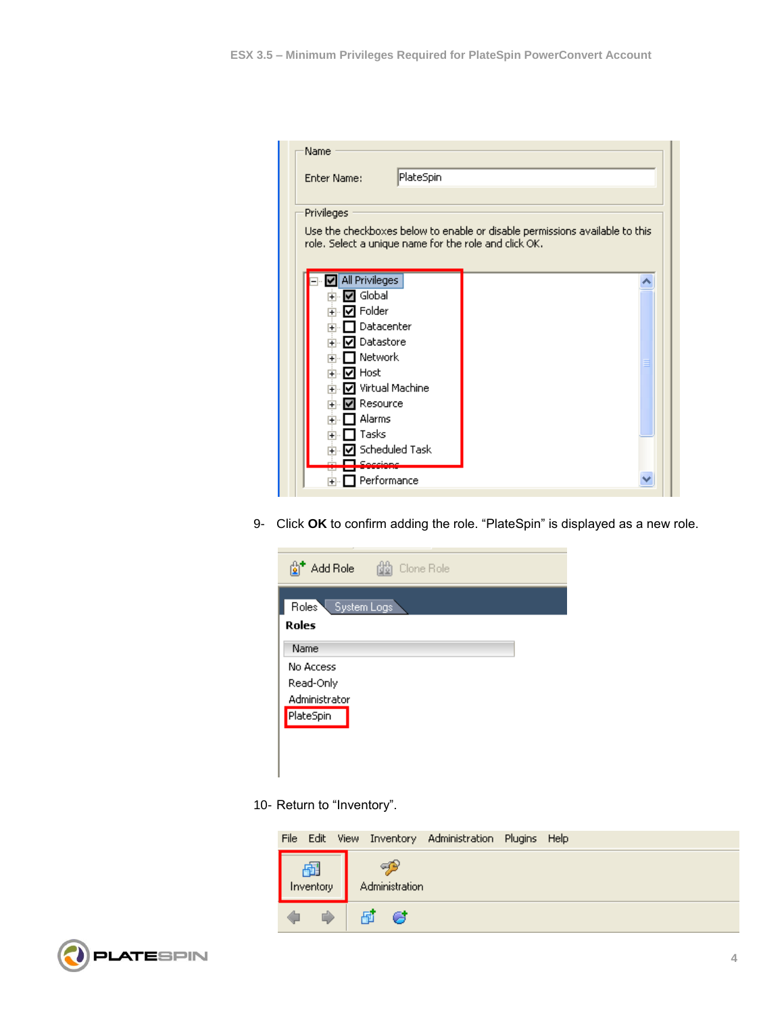| PlateSpin<br><b>Enter Name:</b>                                             |                  |  |  |  |  |
|-----------------------------------------------------------------------------|------------------|--|--|--|--|
|                                                                             |                  |  |  |  |  |
|                                                                             |                  |  |  |  |  |
| Privileges                                                                  |                  |  |  |  |  |
| Use the checkboxes below to enable or disable permissions available to this |                  |  |  |  |  |
| role. Select a unique name for the role and click OK.                       |                  |  |  |  |  |
|                                                                             |                  |  |  |  |  |
| <b>All Privileges</b>                                                       |                  |  |  |  |  |
| Global<br>$\overline{+}$                                                    |                  |  |  |  |  |
| <b>⊽</b> Folder<br>$\overline{+}$                                           |                  |  |  |  |  |
| Datacenter<br>$\overline{+}$                                                |                  |  |  |  |  |
| <b>⊽I</b> Datastore<br>$\overline{+}$                                       |                  |  |  |  |  |
| $\blacksquare$ Network<br>$\overline{+}$                                    |                  |  |  |  |  |
| स्य Host<br>$\overline{+}$                                                  |                  |  |  |  |  |
| ☑ Virtual Machine<br>$\overline{+}$                                         |                  |  |  |  |  |
| <b>⊽l</b> Resource<br>$\overline{+}$                                        |                  |  |  |  |  |
| Alarms<br>$\overline{+}$                                                    |                  |  |  |  |  |
| Tasks<br>$\overline{+}$                                                     |                  |  |  |  |  |
|                                                                             | ☑ Scheduled Task |  |  |  |  |
|                                                                             |                  |  |  |  |  |

9- Click **OK** to confirm adding the role. "PlateSpin" is displayed as a new role.

| Add Role                          | Clone Role |
|-----------------------------------|------------|
| Roles <sup>V</sup><br>System Logs |            |
| Roles                             |            |
| Name                              |            |
| No Access                         |            |
| Read-Only                         |            |
| Administrator                     |            |
| PlateSpin                         |            |
|                                   |            |
|                                   |            |
|                                   |            |

10- Return to "Inventory".

|  |               |  |                      | File Edit View Inventory Administration Plugins Help |  |
|--|---------------|--|----------------------|------------------------------------------------------|--|
|  | $\frac{F}{F}$ |  | qв<br>Administration |                                                      |  |
|  | D             |  | 同 6                  |                                                      |  |

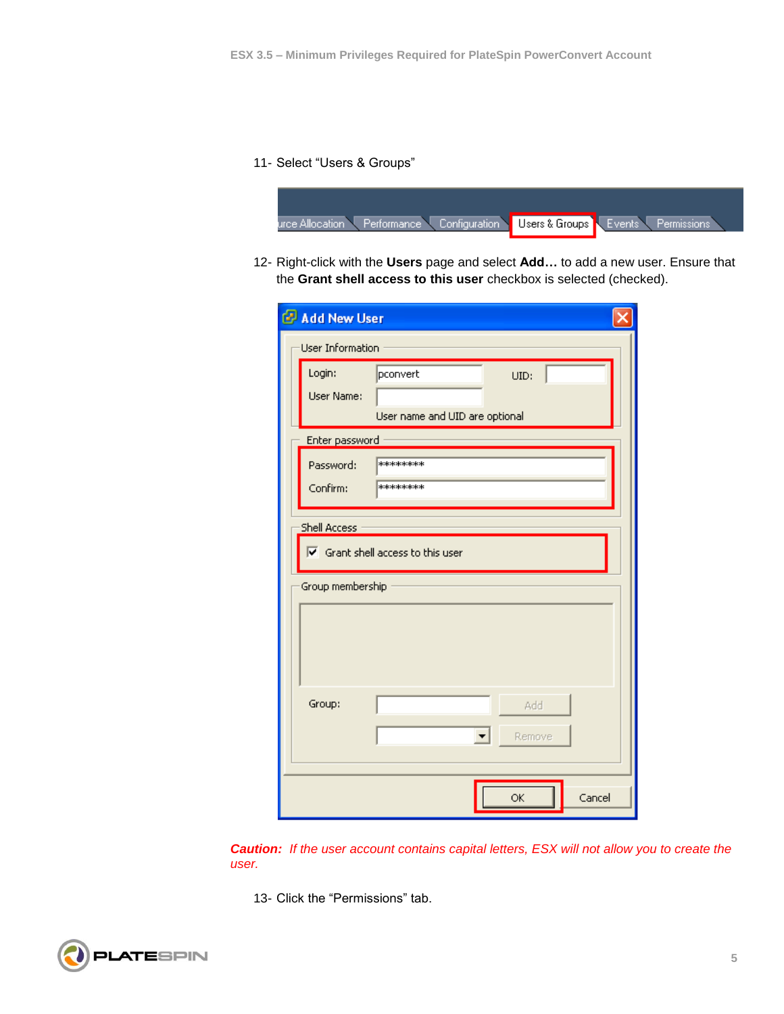## 11- Select "Users & Groups"



12- Right-click with the **Users** page and select **Add…** to add a new user. Ensure that the **Grant shell access to this user** checkbox is selected (checked).

| Add New User                                                                                |                                                    |        |  |  |  |
|---------------------------------------------------------------------------------------------|----------------------------------------------------|--------|--|--|--|
| User Information                                                                            |                                                    |        |  |  |  |
| Login:<br>User Name:                                                                        | pconvert<br>UID:<br>User name and UID are optional |        |  |  |  |
| Enter password                                                                              |                                                    |        |  |  |  |
| Password:<br>Confirm:                                                                       | *******<br>********                                |        |  |  |  |
| Shell Access<br>$\overline{\mathsf{v}}$ Grant shell access to this user<br>Group membership |                                                    |        |  |  |  |
|                                                                                             |                                                    |        |  |  |  |
| Group:                                                                                      | Add<br>$\overline{\phantom{a}}$<br>Remove          |        |  |  |  |
|                                                                                             | <b>OK</b>                                          | Cancel |  |  |  |

*Caution: If the user account contains capital letters, ESX will not allow you to create the user.*

13- Click the "Permissions" tab.